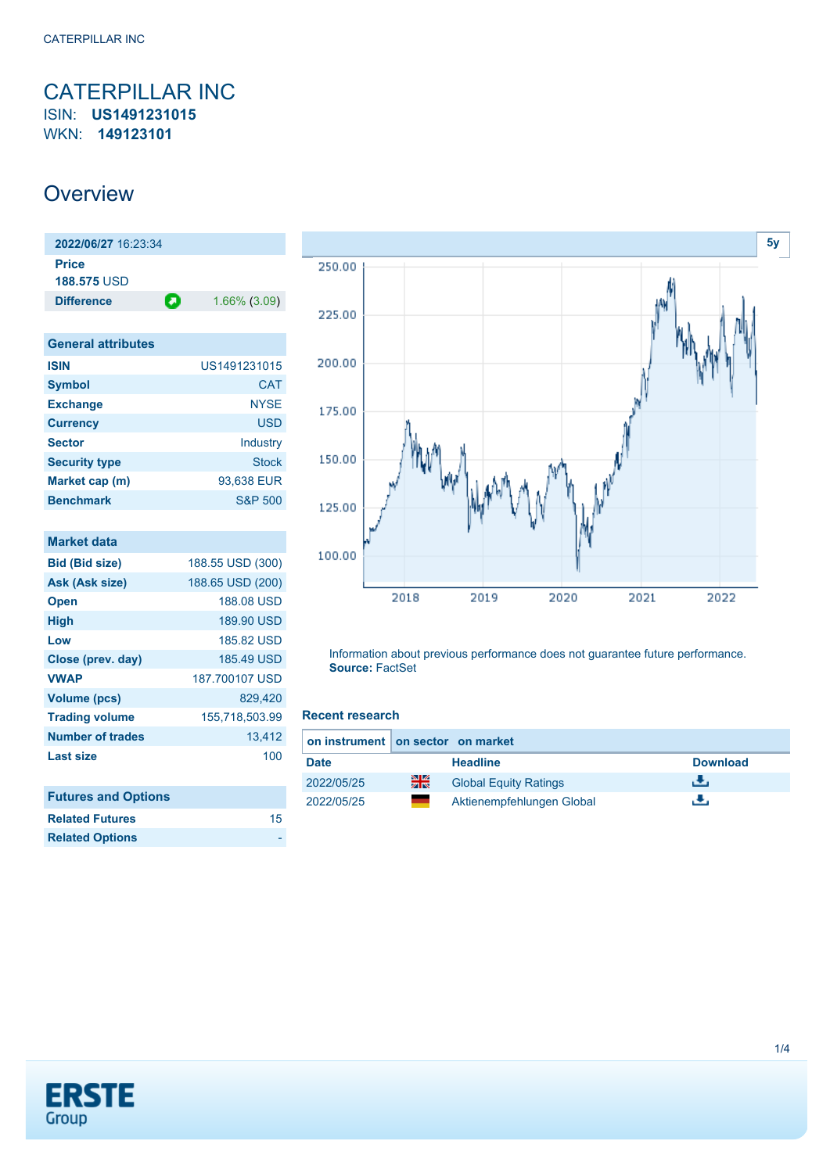### <span id="page-0-0"></span>CATERPILLAR INC ISIN: **US1491231015** WKN: **149123101**

### **Overview**

| 2022/06/27 16:23:34         |   |                 |
|-----------------------------|---|-----------------|
| Price<br><b>188.575 USD</b> |   |                 |
| <b>Difference</b>           | О | $1.66\%$ (3.09) |
|                             |   |                 |

| <b>General attributes</b> |                    |
|---------------------------|--------------------|
| <b>ISIN</b>               | US1491231015       |
| <b>Symbol</b>             | <b>CAT</b>         |
| <b>Exchange</b>           | <b>NYSE</b>        |
| <b>Currency</b>           | <b>USD</b>         |
| <b>Sector</b>             | Industry           |
| <b>Security type</b>      | <b>Stock</b>       |
| Market cap (m)            | 93,638 EUR         |
| <b>Benchmark</b>          | <b>S&amp;P 500</b> |

| <b>Market data</b>         |                  |
|----------------------------|------------------|
| <b>Bid (Bid size)</b>      | 188.55 USD (300) |
| Ask (Ask size)             | 188.65 USD (200) |
| <b>Open</b>                | 188.08 USD       |
| <b>High</b>                | 189.90 USD       |
| Low                        | 185.82 USD       |
| Close (prev. day)          | 185.49 USD       |
| <b>VWAP</b>                | 187.700107 USD   |
| <b>Volume (pcs)</b>        | 829,420          |
| <b>Trading volume</b>      | 155,718,503.99   |
| Number of trades           | 13,412           |
| <b>Last size</b>           | 100              |
|                            |                  |
| <b>Futures and Options</b> |                  |
| <b>Related Futures</b>     | 15               |
| <b>Related Options</b>     |                  |



Information about previous performance does not guarantee future performance. **Source:** FactSet

#### **Recent research**

|             | on instrument on sector on market |                              |                 |  |  |
|-------------|-----------------------------------|------------------------------|-----------------|--|--|
| <b>Date</b> |                                   | <b>Headline</b>              | <b>Download</b> |  |  |
| 2022/05/25  | 픪춙                                | <b>Global Equity Ratings</b> | ٠₩.             |  |  |
| 2022/05/25  |                                   | Aktienempfehlungen Global    | ж.              |  |  |

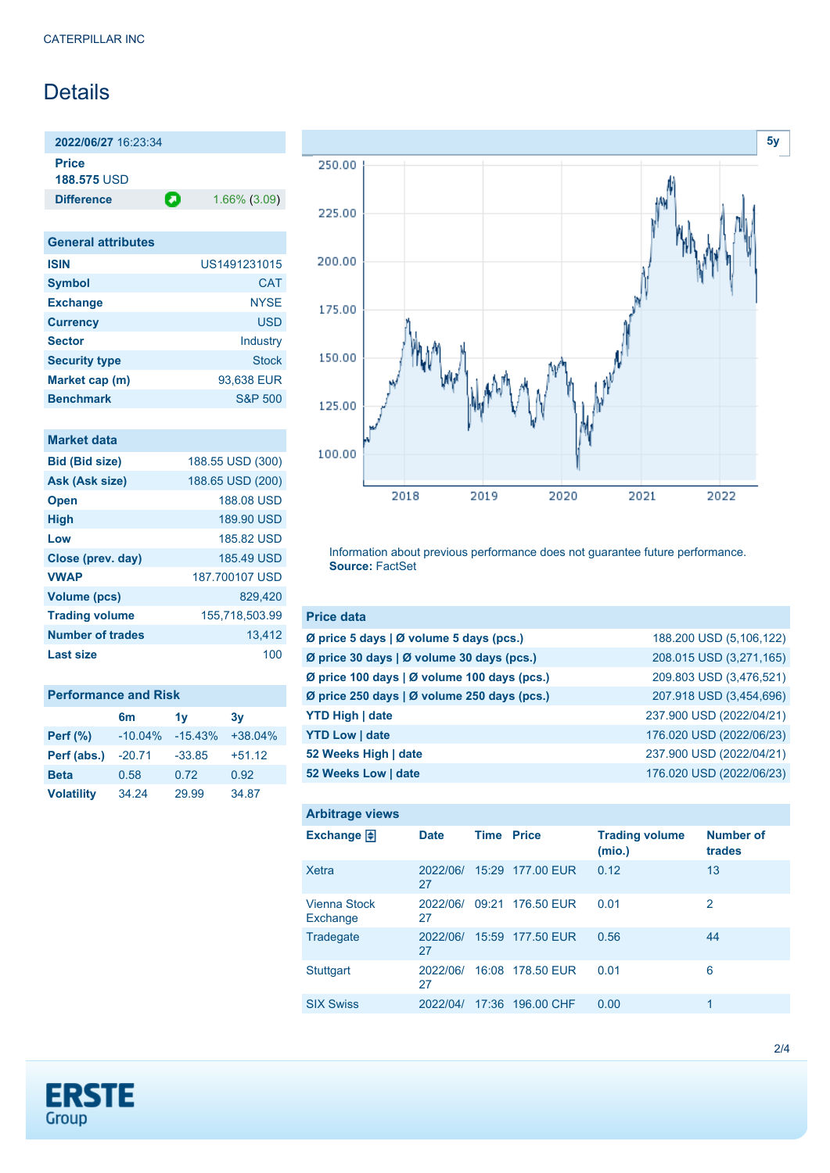## Details

**2022/06/27** 16:23:34 **Price**

**188.575** USD

**Difference 1.66% (3.09)** 

| <b>General attributes</b> |                    |
|---------------------------|--------------------|
| <b>ISIN</b>               | US1491231015       |
| <b>Symbol</b>             | <b>CAT</b>         |
| <b>Exchange</b>           | <b>NYSE</b>        |
| <b>Currency</b>           | <b>USD</b>         |
| <b>Sector</b>             | Industry           |
| <b>Security type</b>      | <b>Stock</b>       |
| Market cap (m)            | 93,638 EUR         |
| <b>Benchmark</b>          | <b>S&amp;P 500</b> |

| Market data             |                  |
|-------------------------|------------------|
| <b>Bid (Bid size)</b>   | 188.55 USD (300) |
| Ask (Ask size)          | 188.65 USD (200) |
| <b>Open</b>             | 188.08 USD       |
| <b>High</b>             | 189.90 USD       |
| Low                     | 185.82 USD       |
| Close (prev. day)       | 185.49 USD       |
| <b>VWAP</b>             | 187,700107 USD   |
| <b>Volume (pcs)</b>     | 829.420          |
| <b>Trading volume</b>   | 155,718,503.99   |
| <b>Number of trades</b> | 13,412           |
| Last size               | 100              |

| <b>Performance and Risk</b> |                |           |           |  |  |
|-----------------------------|----------------|-----------|-----------|--|--|
|                             | 6 <sub>m</sub> | 1v        | 3v        |  |  |
| <b>Perf</b> (%)             | $-10.04%$      | $-15.43%$ | $+38.04%$ |  |  |
| Perf (abs.)                 | $-20.71$       | $-33.85$  | $+51.12$  |  |  |
| <b>Beta</b>                 | 0.58           | 0.72      | 0.92      |  |  |
| <b>Volatility</b>           | 34.24          | 29.99     | 34.87     |  |  |



Information about previous performance does not guarantee future performance. **Source:** FactSet

| <b>Price data</b>                                     |                          |
|-------------------------------------------------------|--------------------------|
| Ø price 5 days $\vert \emptyset$ volume 5 days (pcs.) | 188.200 USD (5,106,122)  |
| Ø price 30 days   Ø volume 30 days (pcs.)             | 208.015 USD (3,271,165)  |
| Ø price 100 days   Ø volume 100 days (pcs.)           | 209.803 USD (3,476,521)  |
| Ø price 250 days   Ø volume 250 days (pcs.)           | 207.918 USD (3,454,696)  |
| <b>YTD High   date</b>                                | 237.900 USD (2022/04/21) |
| <b>YTD Low   date</b>                                 | 176.020 USD (2022/06/23) |
| 52 Weeks High   date                                  | 237.900 USD (2022/04/21) |
| 52 Weeks Low   date                                   | 176.020 USD (2022/06/23) |

| <b>Arbitrage views</b>          |                |             |                  |                                 |                            |
|---------------------------------|----------------|-------------|------------------|---------------------------------|----------------------------|
| Exchange $\Box$                 | <b>Date</b>    | <b>Time</b> | <b>Price</b>     | <b>Trading volume</b><br>(mio.) | <b>Number of</b><br>trades |
| Xetra                           | 2022/06/<br>27 |             | 15:29 177.00 EUR | 0.12                            | 13                         |
| <b>Vienna Stock</b><br>Exchange | 2022/06/<br>27 |             | 09:21 176.50 EUR | 0.01                            | 2                          |
| Tradegate                       | 2022/06/<br>27 | 15:59       | 177,50 EUR       | 0.56                            | 44                         |
| <b>Stuttgart</b>                | 2022/06/<br>27 |             | 16:08 178.50 EUR | 0.01                            | 6                          |
| <b>SIX Swiss</b>                | 2022/04/       |             | 17:36 196.00 CHF | 0.00                            | 1                          |

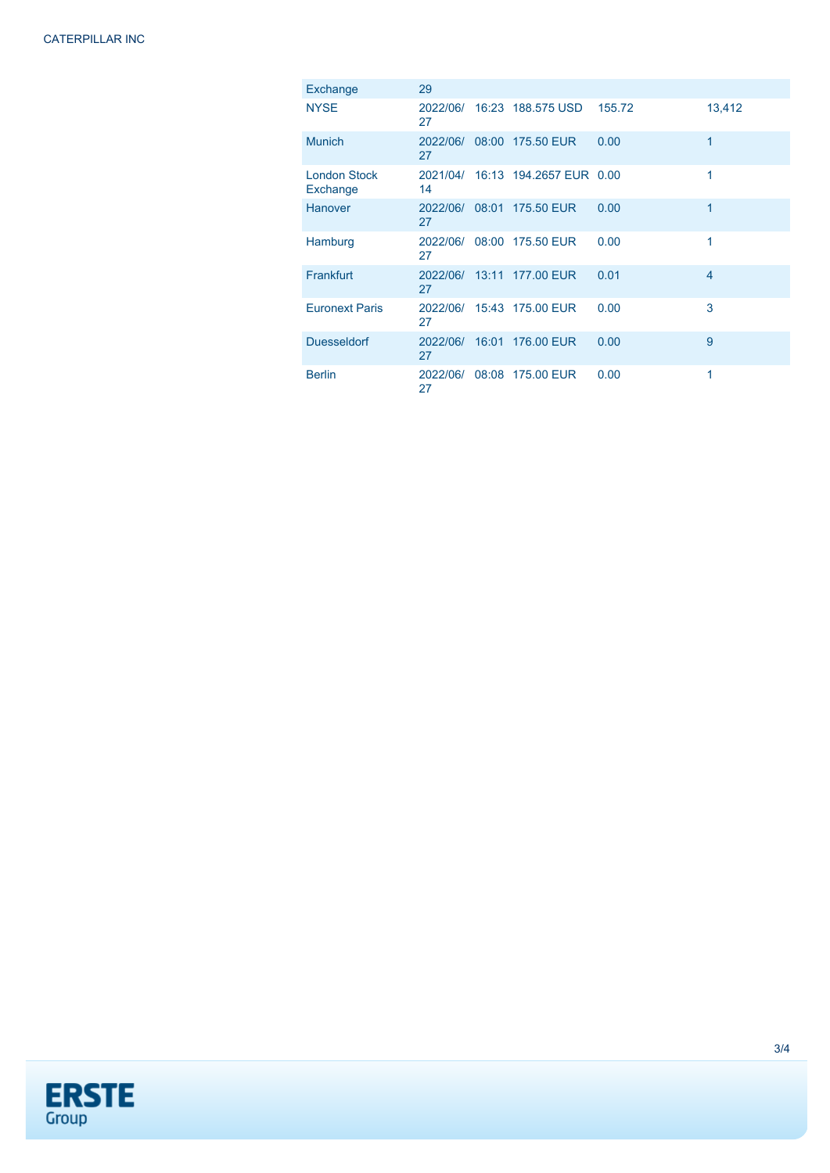| Exchange                        | 29             |                                  |        |                |
|---------------------------------|----------------|----------------------------------|--------|----------------|
| <b>NYSE</b>                     | 27             | 2022/06/ 16:23 188.575 USD       | 155.72 | 13,412         |
| <b>Munich</b>                   | 27             | 2022/06/ 08:00 175.50 EUR        | 0.00   | 1              |
| <b>London Stock</b><br>Exchange | 14             | 2021/04/ 16:13 194.2657 EUR 0.00 |        | 1              |
| <b>Hanover</b>                  | 2022/06/<br>27 | 08:01 175.50 EUR                 | 0.00   | 1              |
| Hamburg                         | 2022/06/<br>27 | 08:00 175.50 EUR                 | 0.00   | 1              |
| Frankfurt                       | 2022/06/<br>27 | 13:11 177.00 EUR                 | 0.01   | $\overline{4}$ |
| <b>Euronext Paris</b>           | 2022/06/<br>27 | 15:43 175.00 EUR                 | 0.00   | 3              |
| <b>Duesseldorf</b>              | 2022/06/<br>27 | 16:01 176.00 EUR                 | 0.00   | 9              |
| <b>Berlin</b>                   | 2022/06/<br>27 | 08:08 175.00 EUR                 | 0.00   | 1              |